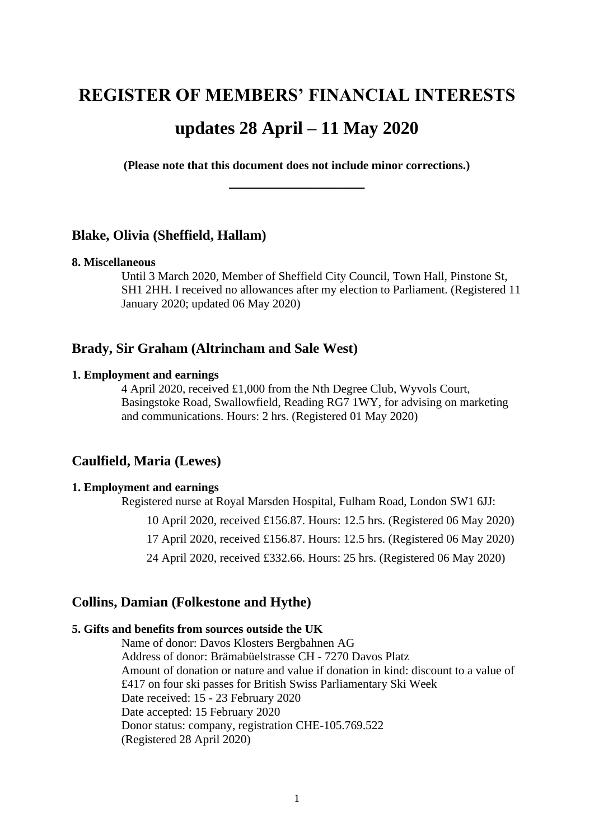# **REGISTER OF MEMBERS' FINANCIAL INTERESTS updates 28 April – 11 May 2020**

**(Please note that this document does not include minor corrections.) \_\_\_\_\_\_\_\_\_\_\_\_\_\_\_\_\_**

## **Blake, Olivia (Sheffield, Hallam)**

#### **8. Miscellaneous**

Until 3 March 2020, Member of Sheffield City Council, Town Hall, Pinstone St, SH1 2HH. I received no allowances after my election to Parliament. (Registered 11 January 2020; updated 06 May 2020)

# **Brady, Sir Graham (Altrincham and Sale West)**

#### **1. Employment and earnings**

4 April 2020, received £1,000 from the Nth Degree Club, Wyvols Court, Basingstoke Road, Swallowfield, Reading RG7 1WY, for advising on marketing and communications. Hours: 2 hrs. (Registered 01 May 2020)

## **Caulfield, Maria (Lewes)**

## **1. Employment and earnings**

Registered nurse at Royal Marsden Hospital, Fulham Road, London SW1 6JJ:

10 April 2020, received £156.87. Hours: 12.5 hrs. (Registered 06 May 2020)

17 April 2020, received £156.87. Hours: 12.5 hrs. (Registered 06 May 2020)

24 April 2020, received £332.66. Hours: 25 hrs. (Registered 06 May 2020)

## **Collins, Damian (Folkestone and Hythe)**

## **5. Gifts and benefits from sources outside the UK**

Name of donor: Davos Klosters Bergbahnen AG Address of donor: Brämabüelstrasse CH - 7270 Davos Platz Amount of donation or nature and value if donation in kind: discount to a value of £417 on four ski passes for British Swiss Parliamentary Ski Week Date received: 15 - 23 February 2020 Date accepted: 15 February 2020 Donor status: company, registration CHE-105.769.522 (Registered 28 April 2020)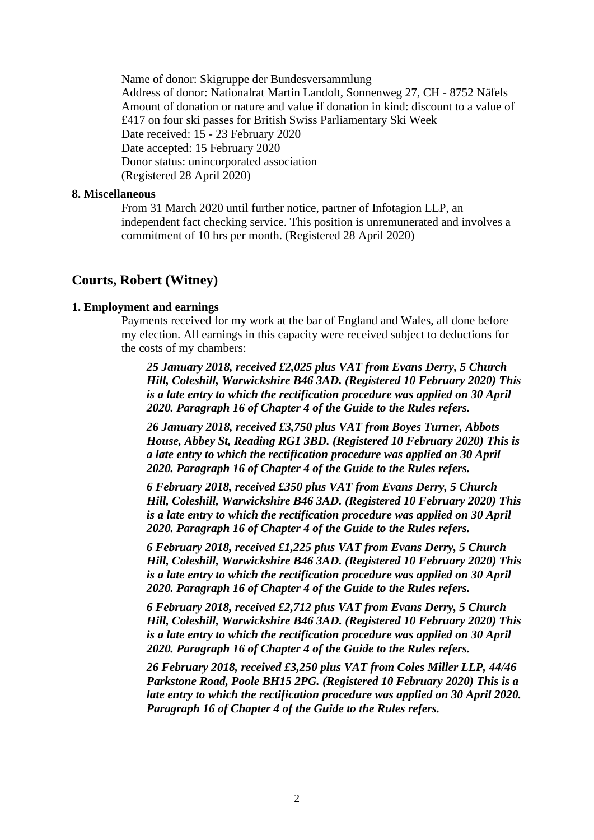Name of donor: Skigruppe der Bundesversammlung Address of donor: Nationalrat Martin Landolt, Sonnenweg 27, CH - 8752 Näfels

Amount of donation or nature and value if donation in kind: discount to a value of £417 on four ski passes for British Swiss Parliamentary Ski Week Date received: 15 - 23 February 2020 Date accepted: 15 February 2020 Donor status: unincorporated association (Registered 28 April 2020)

#### **8. Miscellaneous**

From 31 March 2020 until further notice, partner of Infotagion LLP, an independent fact checking service. This position is unremunerated and involves a commitment of 10 hrs per month. (Registered 28 April 2020)

## **Courts, Robert (Witney)**

## **1. Employment and earnings**

Payments received for my work at the bar of England and Wales, all done before my election. All earnings in this capacity were received subject to deductions for the costs of my chambers:

*25 January 2018, received £2,025 plus VAT from Evans Derry, 5 Church Hill, Coleshill, Warwickshire B46 3AD. (Registered 10 February 2020) This is a late entry to which the rectification procedure was applied on 30 April 2020. Paragraph 16 of Chapter 4 of the Guide to the Rules refers.*

*26 January 2018, received £3,750 plus VAT from Boyes Turner, Abbots House, Abbey St, Reading RG1 3BD. (Registered 10 February 2020) This is a late entry to which the rectification procedure was applied on 30 April 2020. Paragraph 16 of Chapter 4 of the Guide to the Rules refers.*

*6 February 2018, received £350 plus VAT from Evans Derry, 5 Church Hill, Coleshill, Warwickshire B46 3AD. (Registered 10 February 2020) This is a late entry to which the rectification procedure was applied on 30 April 2020. Paragraph 16 of Chapter 4 of the Guide to the Rules refers.*

*6 February 2018, received £1,225 plus VAT from Evans Derry, 5 Church Hill, Coleshill, Warwickshire B46 3AD. (Registered 10 February 2020) This is a late entry to which the rectification procedure was applied on 30 April 2020. Paragraph 16 of Chapter 4 of the Guide to the Rules refers.*

*6 February 2018, received £2,712 plus VAT from Evans Derry, 5 Church Hill, Coleshill, Warwickshire B46 3AD. (Registered 10 February 2020) This is a late entry to which the rectification procedure was applied on 30 April 2020. Paragraph 16 of Chapter 4 of the Guide to the Rules refers.*

*26 February 2018, received £3,250 plus VAT from Coles Miller LLP, 44/46 Parkstone Road, Poole BH15 2PG. (Registered 10 February 2020) This is a late entry to which the rectification procedure was applied on 30 April 2020. Paragraph 16 of Chapter 4 of the Guide to the Rules refers.*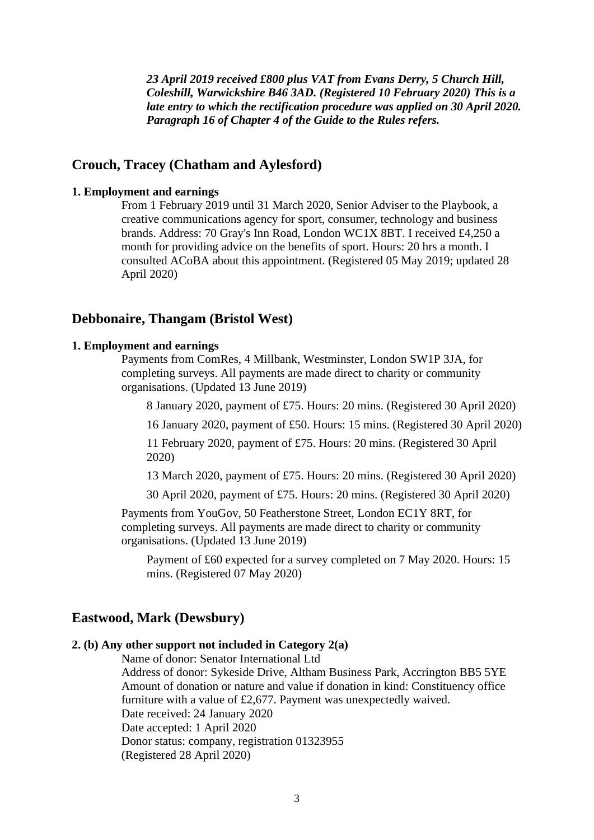*23 April 2019 received £800 plus VAT from Evans Derry, 5 Church Hill, Coleshill, Warwickshire B46 3AD. (Registered 10 February 2020) This is a late entry to which the rectification procedure was applied on 30 April 2020. Paragraph 16 of Chapter 4 of the Guide to the Rules refers.*

## **Crouch, Tracey (Chatham and Aylesford)**

## **1. Employment and earnings**

From 1 February 2019 until 31 March 2020, Senior Adviser to the Playbook, a creative communications agency for sport, consumer, technology and business brands. Address: 70 Gray's Inn Road, London WC1X 8BT. I received £4,250 a month for providing advice on the benefits of sport. Hours: 20 hrs a month. I consulted ACoBA about this appointment. (Registered 05 May 2019; updated 28 April 2020)

## **Debbonaire, Thangam (Bristol West)**

# **1. Employment and earnings**

Payments from ComRes, 4 Millbank, Westminster, London SW1P 3JA, for completing surveys. All payments are made direct to charity or community organisations. (Updated 13 June 2019)

8 January 2020, payment of £75. Hours: 20 mins. (Registered 30 April 2020)

16 January 2020, payment of £50. Hours: 15 mins. (Registered 30 April 2020)

11 February 2020, payment of £75. Hours: 20 mins. (Registered 30 April 2020)

13 March 2020, payment of £75. Hours: 20 mins. (Registered 30 April 2020)

30 April 2020, payment of £75. Hours: 20 mins. (Registered 30 April 2020)

Payments from YouGov, 50 Featherstone Street, London EC1Y 8RT, for completing surveys. All payments are made direct to charity or community organisations. (Updated 13 June 2019)

Payment of £60 expected for a survey completed on 7 May 2020. Hours: 15 mins. (Registered 07 May 2020)

# **Eastwood, Mark (Dewsbury)**

#### **2. (b) Any other support not included in Category 2(a)**

Name of donor: Senator International Ltd Address of donor: Sykeside Drive, Altham Business Park, Accrington BB5 5YE Amount of donation or nature and value if donation in kind: Constituency office furniture with a value of £2,677. Payment was unexpectedly waived. Date received: 24 January 2020 Date accepted: 1 April 2020 Donor status: company, registration 01323955 (Registered 28 April 2020)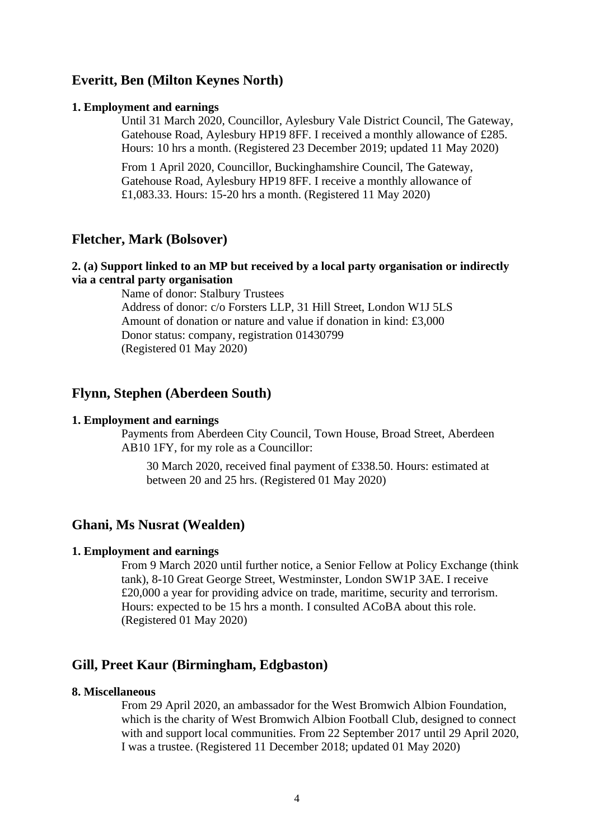# **Everitt, Ben (Milton Keynes North)**

#### **1. Employment and earnings**

Until 31 March 2020, Councillor, Aylesbury Vale District Council, The Gateway, Gatehouse Road, Aylesbury HP19 8FF. I received a monthly allowance of £285. Hours: 10 hrs a month. (Registered 23 December 2019; updated 11 May 2020)

From 1 April 2020, Councillor, Buckinghamshire Council, The Gateway, Gatehouse Road, Aylesbury HP19 8FF. I receive a monthly allowance of £1,083.33. Hours: 15-20 hrs a month. (Registered 11 May 2020)

## **Fletcher, Mark (Bolsover)**

## **2. (a) Support linked to an MP but received by a local party organisation or indirectly via a central party organisation**

Name of donor: Stalbury Trustees Address of donor: c/o Forsters LLP, 31 Hill Street, London W1J 5LS Amount of donation or nature and value if donation in kind: £3,000 Donor status: company, registration 01430799 (Registered 01 May 2020)

## **Flynn, Stephen (Aberdeen South)**

#### **1. Employment and earnings**

Payments from Aberdeen City Council, Town House, Broad Street, Aberdeen AB10 1FY, for my role as a Councillor:

30 March 2020, received final payment of £338.50. Hours: estimated at between 20 and 25 hrs. (Registered 01 May 2020)

## **Ghani, Ms Nusrat (Wealden)**

#### **1. Employment and earnings**

From 9 March 2020 until further notice, a Senior Fellow at Policy Exchange (think tank), 8-10 Great George Street, Westminster, London SW1P 3AE. I receive £20,000 a year for providing advice on trade, maritime, security and terrorism. Hours: expected to be 15 hrs a month. I consulted ACoBA about this role. (Registered 01 May 2020)

# **Gill, Preet Kaur (Birmingham, Edgbaston)**

#### **8. Miscellaneous**

From 29 April 2020, an ambassador for the West Bromwich Albion Foundation, which is the charity of West Bromwich Albion Football Club, designed to connect with and support local communities. From 22 September 2017 until 29 April 2020, I was a trustee. (Registered 11 December 2018; updated 01 May 2020)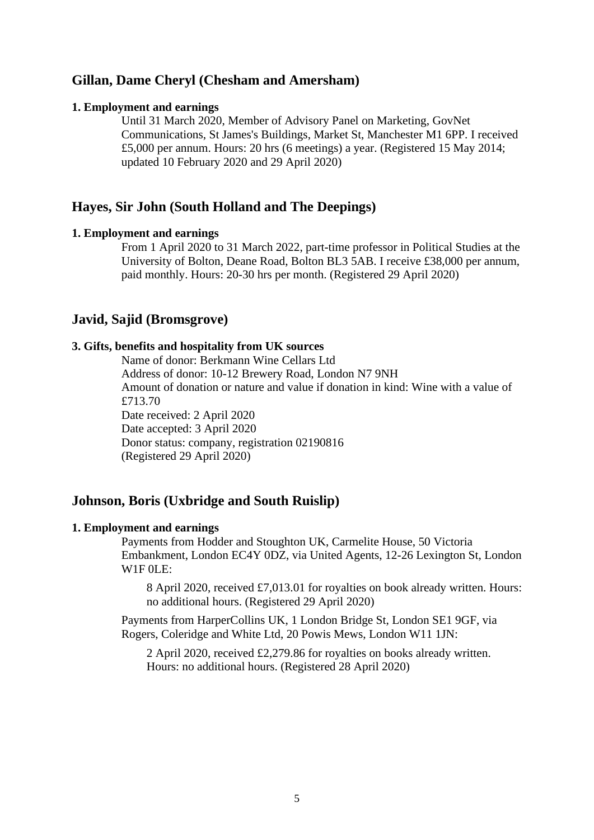# **Gillan, Dame Cheryl (Chesham and Amersham)**

#### **1. Employment and earnings**

Until 31 March 2020, Member of Advisory Panel on Marketing, GovNet Communications, St James's Buildings, Market St, Manchester M1 6PP. I received £5,000 per annum. Hours: 20 hrs (6 meetings) a year. (Registered 15 May 2014; updated 10 February 2020 and 29 April 2020)

# **Hayes, Sir John (South Holland and The Deepings)**

#### **1. Employment and earnings**

From 1 April 2020 to 31 March 2022, part-time professor in Political Studies at the University of Bolton, Deane Road, Bolton BL3 5AB. I receive £38,000 per annum, paid monthly. Hours: 20-30 hrs per month. (Registered 29 April 2020)

## **Javid, Sajid (Bromsgrove)**

#### **3. Gifts, benefits and hospitality from UK sources**

Name of donor: Berkmann Wine Cellars Ltd Address of donor: 10-12 Brewery Road, London N7 9NH Amount of donation or nature and value if donation in kind: Wine with a value of £713.70 Date received: 2 April 2020 Date accepted: 3 April 2020 Donor status: company, registration 02190816 (Registered 29 April 2020)

# **Johnson, Boris (Uxbridge and South Ruislip)**

## **1. Employment and earnings**

Payments from Hodder and Stoughton UK, Carmelite House, 50 Victoria Embankment, London EC4Y 0DZ, via United Agents, 12-26 Lexington St, London W1F 0LE:

8 April 2020, received £7,013.01 for royalties on book already written. Hours: no additional hours. (Registered 29 April 2020)

Payments from HarperCollins UK, 1 London Bridge St, London SE1 9GF, via Rogers, Coleridge and White Ltd, 20 Powis Mews, London W11 1JN:

2 April 2020, received £2,279.86 for royalties on books already written. Hours: no additional hours. (Registered 28 April 2020)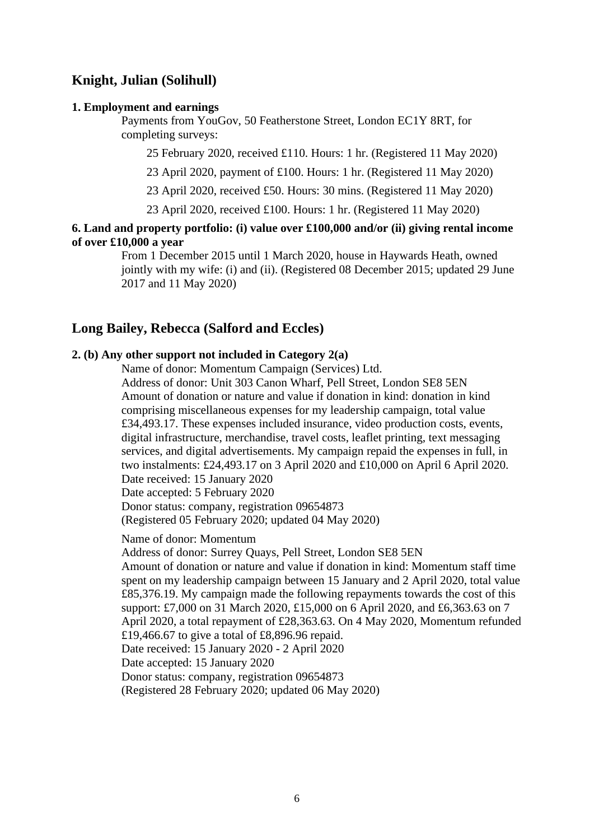# **Knight, Julian (Solihull)**

#### **1. Employment and earnings**

Payments from YouGov, 50 Featherstone Street, London EC1Y 8RT, for completing surveys:

25 February 2020, received £110. Hours: 1 hr. (Registered 11 May 2020)

23 April 2020, payment of £100. Hours: 1 hr. (Registered 11 May 2020)

23 April 2020, received £50. Hours: 30 mins. (Registered 11 May 2020)

23 April 2020, received £100. Hours: 1 hr. (Registered 11 May 2020)

## **6. Land and property portfolio: (i) value over £100,000 and/or (ii) giving rental income of over £10,000 a year**

From 1 December 2015 until 1 March 2020, house in Haywards Heath, owned jointly with my wife: (i) and (ii). (Registered 08 December 2015; updated 29 June 2017 and 11 May 2020)

# **Long Bailey, Rebecca (Salford and Eccles)**

## **2. (b) Any other support not included in Category 2(a)**

Name of donor: Momentum Campaign (Services) Ltd.

Address of donor: Unit 303 Canon Wharf, Pell Street, London SE8 5EN Amount of donation or nature and value if donation in kind: donation in kind comprising miscellaneous expenses for my leadership campaign, total value £34,493.17. These expenses included insurance, video production costs, events, digital infrastructure, merchandise, travel costs, leaflet printing, text messaging services, and digital advertisements. My campaign repaid the expenses in full, in two instalments: £24,493.17 on 3 April 2020 and £10,000 on April 6 April 2020. Date received: 15 January 2020

Date accepted: 5 February 2020

Donor status: company, registration 09654873

(Registered 05 February 2020; updated 04 May 2020)

Name of donor: Momentum

Address of donor: Surrey Quays, Pell Street, London SE8 5EN Amount of donation or nature and value if donation in kind: Momentum staff time spent on my leadership campaign between 15 January and 2 April 2020, total value £85,376.19. My campaign made the following repayments towards the cost of this support: £7,000 on 31 March 2020, £15,000 on 6 April 2020, and £6,363.63 on 7 April 2020, a total repayment of £28,363.63. On 4 May 2020, Momentum refunded £19,466.67 to give a total of £8,896.96 repaid. Date received: 15 January 2020 - 2 April 2020 Date accepted: 15 January 2020 Donor status: company, registration 09654873 (Registered 28 February 2020; updated 06 May 2020)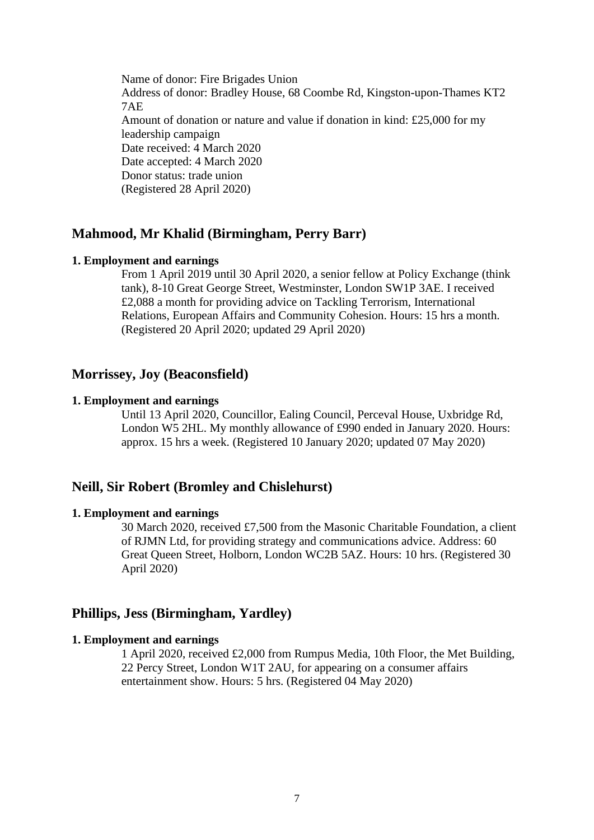Name of donor: Fire Brigades Union Address of donor: Bradley House, 68 Coombe Rd, Kingston-upon-Thames KT2 7AE Amount of donation or nature and value if donation in kind: £25,000 for my leadership campaign Date received: 4 March 2020 Date accepted: 4 March 2020 Donor status: trade union (Registered 28 April 2020)

## **Mahmood, Mr Khalid (Birmingham, Perry Barr)**

#### **1. Employment and earnings**

From 1 April 2019 until 30 April 2020, a senior fellow at Policy Exchange (think tank), 8-10 Great George Street, Westminster, London SW1P 3AE. I received £2,088 a month for providing advice on Tackling Terrorism, International Relations, European Affairs and Community Cohesion. Hours: 15 hrs a month. (Registered 20 April 2020; updated 29 April 2020)

## **Morrissey, Joy (Beaconsfield)**

#### **1. Employment and earnings**

Until 13 April 2020, Councillor, Ealing Council, Perceval House, Uxbridge Rd, London W5 2HL. My monthly allowance of £990 ended in January 2020. Hours: approx. 15 hrs a week. (Registered 10 January 2020; updated 07 May 2020)

# **Neill, Sir Robert (Bromley and Chislehurst)**

#### **1. Employment and earnings**

30 March 2020, received £7,500 from the Masonic Charitable Foundation, a client of RJMN Ltd, for providing strategy and communications advice. Address: 60 Great Queen Street, Holborn, London WC2B 5AZ. Hours: 10 hrs. (Registered 30 April 2020)

## **Phillips, Jess (Birmingham, Yardley)**

## **1. Employment and earnings**

1 April 2020, received £2,000 from Rumpus Media, 10th Floor, the Met Building, 22 Percy Street, London W1T 2AU, for appearing on a consumer affairs entertainment show. Hours: 5 hrs. (Registered 04 May 2020)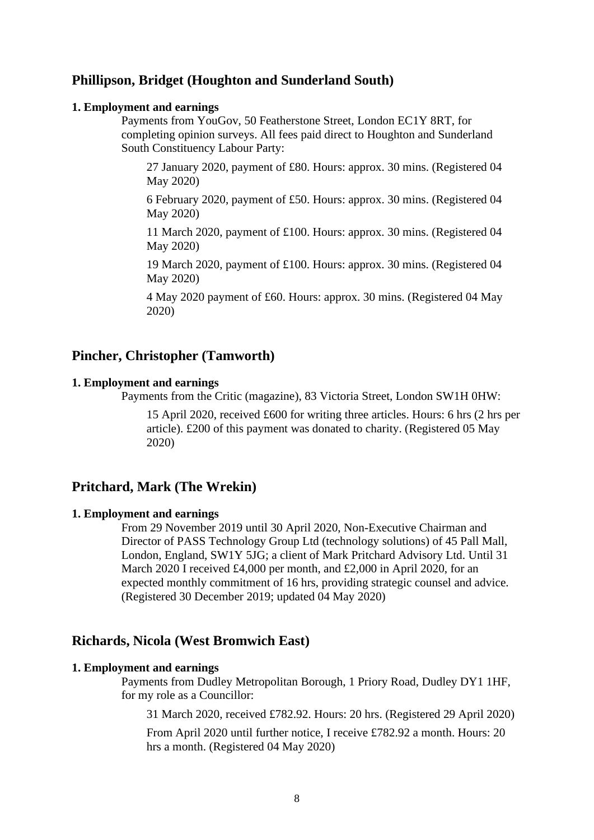# **Phillipson, Bridget (Houghton and Sunderland South)**

#### **1. Employment and earnings**

Payments from YouGov, 50 Featherstone Street, London EC1Y 8RT, for completing opinion surveys. All fees paid direct to Houghton and Sunderland South Constituency Labour Party:

27 January 2020, payment of £80. Hours: approx. 30 mins. (Registered 04 May 2020)

6 February 2020, payment of £50. Hours: approx. 30 mins. (Registered 04 May 2020)

11 March 2020, payment of £100. Hours: approx. 30 mins. (Registered 04 May 2020)

19 March 2020, payment of £100. Hours: approx. 30 mins. (Registered 04 May 2020)

4 May 2020 payment of £60. Hours: approx. 30 mins. (Registered 04 May 2020)

# **Pincher, Christopher (Tamworth)**

# **1. Employment and earnings**

Payments from the Critic (magazine), 83 Victoria Street, London SW1H 0HW:

15 April 2020, received £600 for writing three articles. Hours: 6 hrs (2 hrs per article). £200 of this payment was donated to charity. (Registered 05 May 2020)

# **Pritchard, Mark (The Wrekin)**

#### **1. Employment and earnings**

From 29 November 2019 until 30 April 2020, Non-Executive Chairman and Director of PASS Technology Group Ltd (technology solutions) of 45 Pall Mall, London, England, SW1Y 5JG; a client of Mark Pritchard Advisory Ltd. Until 31 March 2020 I received £4,000 per month, and £2,000 in April 2020, for an expected monthly commitment of 16 hrs, providing strategic counsel and advice. (Registered 30 December 2019; updated 04 May 2020)

# **Richards, Nicola (West Bromwich East)**

## **1. Employment and earnings**

Payments from Dudley Metropolitan Borough, 1 Priory Road, Dudley DY1 1HF, for my role as a Councillor:

31 March 2020, received £782.92. Hours: 20 hrs. (Registered 29 April 2020)

From April 2020 until further notice, I receive £782.92 a month. Hours: 20 hrs a month. (Registered 04 May 2020)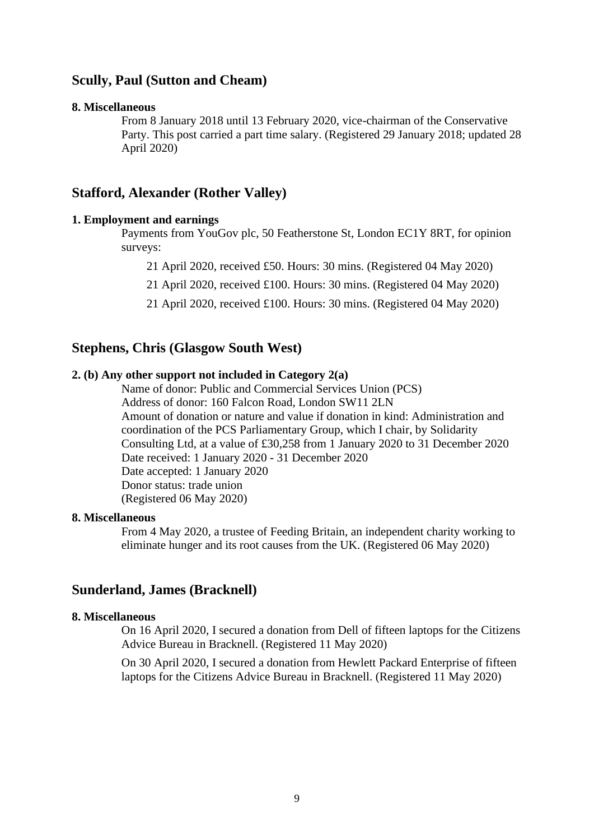# **Scully, Paul (Sutton and Cheam)**

#### **8. Miscellaneous**

From 8 January 2018 until 13 February 2020, vice-chairman of the Conservative Party. This post carried a part time salary. (Registered 29 January 2018; updated 28 April 2020)

# **Stafford, Alexander (Rother Valley)**

### **1. Employment and earnings**

Payments from YouGov plc, 50 Featherstone St, London EC1Y 8RT, for opinion surveys:

21 April 2020, received £50. Hours: 30 mins. (Registered 04 May 2020)

21 April 2020, received £100. Hours: 30 mins. (Registered 04 May 2020)

21 April 2020, received £100. Hours: 30 mins. (Registered 04 May 2020)

# **Stephens, Chris (Glasgow South West)**

#### **2. (b) Any other support not included in Category 2(a)**

Name of donor: Public and Commercial Services Union (PCS) Address of donor: 160 Falcon Road, London SW11 2LN Amount of donation or nature and value if donation in kind: Administration and coordination of the PCS Parliamentary Group, which I chair, by Solidarity Consulting Ltd, at a value of £30,258 from 1 January 2020 to 31 December 2020 Date received: 1 January 2020 - 31 December 2020 Date accepted: 1 January 2020 Donor status: trade union (Registered 06 May 2020)

## **8. Miscellaneous**

From 4 May 2020, a trustee of Feeding Britain, an independent charity working to eliminate hunger and its root causes from the UK. (Registered 06 May 2020)

## **Sunderland, James (Bracknell)**

## **8. Miscellaneous**

On 16 April 2020, I secured a donation from Dell of fifteen laptops for the Citizens Advice Bureau in Bracknell. (Registered 11 May 2020)

On 30 April 2020, I secured a donation from Hewlett Packard Enterprise of fifteen laptops for the Citizens Advice Bureau in Bracknell. (Registered 11 May 2020)